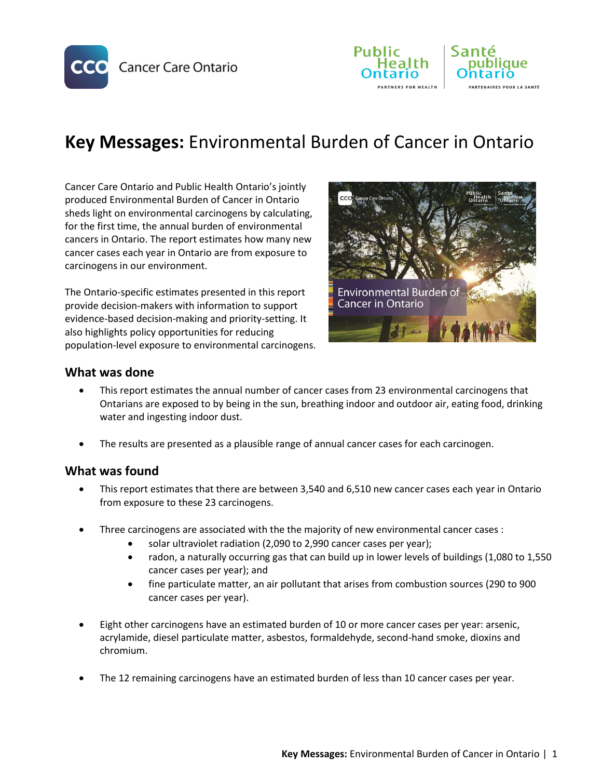





# **Key Messages:** Environmental Burden of Cancer in Ontario

Cancer Care Ontario and Public Health Ontario's jointly produced Environmental Burden of Cancer in Ontario sheds light on environmental carcinogens by calculating, for the first time, the annual burden of environmental cancers in Ontario. The report estimates how many new cancer cases each year in Ontario are from exposure to carcinogens in our environment.

The Ontario-specific estimates presented in this report provide decision-makers with information to support evidence-based decision-making and priority-setting. It also highlights policy opportunities for reducing population-level exposure to environmental carcinogens.



## **What was done**

- This report estimates the annual number of cancer cases from 23 environmental carcinogens that Ontarians are exposed to by being in the sun, breathing indoor and outdoor air, eating food, drinking water and ingesting indoor dust.
- The results are presented as a plausible range of annual cancer cases for each carcinogen.

### **What was found**

- This report estimates that there are between 3,540 and 6,510 new cancer cases each year in Ontario from exposure to these 23 carcinogens.
- Three carcinogens are associated with the the majority of new environmental cancer cases :
	- solar ultraviolet radiation (2,090 to 2,990 cancer cases per year);
	- radon, a naturally occurring gas that can build up in lower levels of buildings (1,080 to 1,550 cancer cases per year); and
	- fine particulate matter, an air pollutant that arises from combustion sources (290 to 900 cancer cases per year).
- Eight other carcinogens have an estimated burden of 10 or more cancer cases per year: arsenic, acrylamide, diesel particulate matter, asbestos, formaldehyde, second-hand smoke, dioxins and chromium.
- The 12 remaining carcinogens have an estimated burden of less than 10 cancer cases per year.